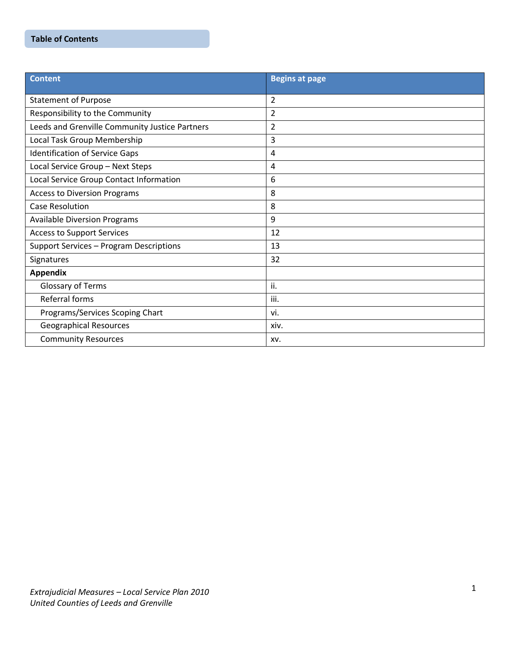# **Table of Contents**

| <b>Content</b>                                 | <b>Begins at page</b> |
|------------------------------------------------|-----------------------|
| <b>Statement of Purpose</b>                    | $\overline{2}$        |
| Responsibility to the Community                | 2                     |
| Leeds and Grenville Community Justice Partners | $\overline{2}$        |
| Local Task Group Membership                    | 3                     |
| <b>Identification of Service Gaps</b>          | $\overline{4}$        |
| Local Service Group - Next Steps               | 4                     |
| Local Service Group Contact Information        | 6                     |
| <b>Access to Diversion Programs</b>            | 8                     |
| <b>Case Resolution</b>                         | 8                     |
| <b>Available Diversion Programs</b>            | 9                     |
| <b>Access to Support Services</b>              | 12                    |
| Support Services - Program Descriptions        | 13                    |
| Signatures                                     | 32                    |
| <b>Appendix</b>                                |                       |
| Glossary of Terms                              | ii.                   |
| Referral forms                                 | iii.                  |
| Programs/Services Scoping Chart                | vi.                   |
| <b>Geographical Resources</b>                  | xiv.                  |
| <b>Community Resources</b>                     | XV.                   |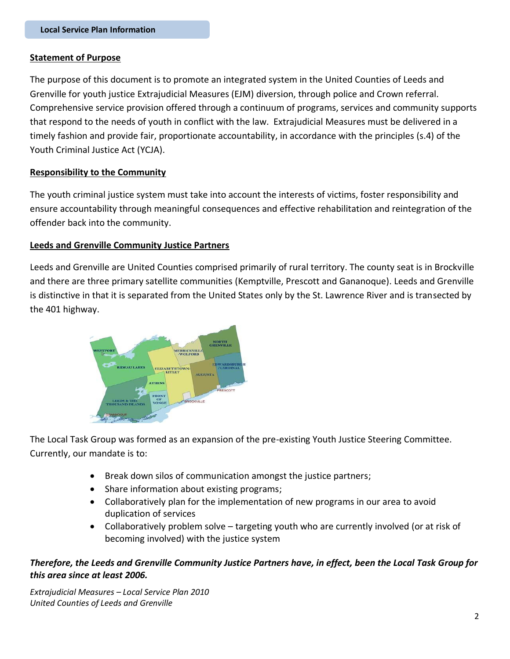## **Statement of Purpose**

The purpose of this document is to promote an integrated system in the United Counties of Leeds and Grenville for youth justice Extrajudicial Measures (EJM) diversion, through police and Crown referral. Comprehensive service provision offered through a continuum of programs, services and community supports that respond to the needs of youth in conflict with the law. Extrajudicial Measures must be delivered in a timely fashion and provide fair, proportionate accountability, in accordance with the principles (s.4) of the Youth Criminal Justice Act (YCJA).

## **Responsibility to the Community**

The youth criminal justice system must take into account the interests of victims, foster responsibility and ensure accountability through meaningful consequences and effective rehabilitation and reintegration of the offender back into the community.

## **Leeds and Grenville Community Justice Partners**

Leeds and Grenville are United Counties comprised primarily of rural territory. The county seat is in Brockville and there are three primary satellite communities (Kemptville, Prescott and Gananoque). Leeds and Grenville is distinctive in that it is separated from the United States only by the St. Lawrence River and is transected by the 401 highway.



The Local Task Group was formed as an expansion of the pre-existing Youth Justice Steering Committee. Currently, our mandate is to:

- Break down silos of communication amongst the justice partners;
- Share information about existing programs;
- Collaboratively plan for the implementation of new programs in our area to avoid duplication of services
- Collaboratively problem solve targeting youth who are currently involved (or at risk of becoming involved) with the justice system

# *Therefore, the Leeds and Grenville Community Justice Partners have, in effect, been the Local Task Group for this area since at least 2006.*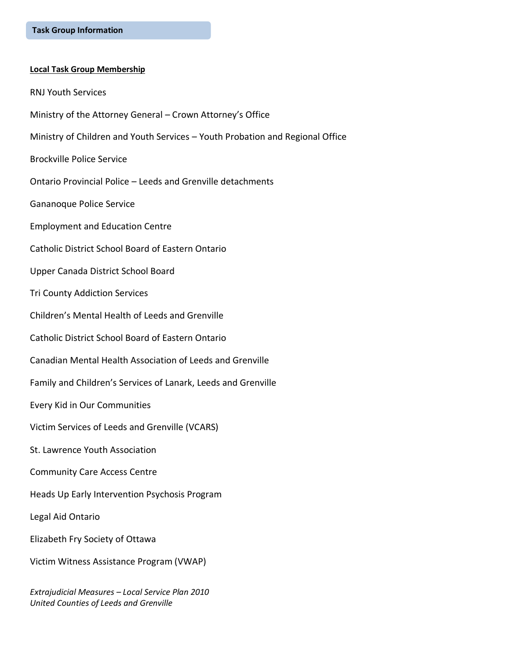#### **Local Task Group Membership**

- RNJ Youth Services
- Ministry of the Attorney General Crown Attorney's Office
- Ministry of Children and Youth Services Youth Probation and Regional Office
- Brockville Police Service
- Ontario Provincial Police Leeds and Grenville detachments
- Gananoque Police Service
- Employment and Education Centre
- Catholic District School Board of Eastern Ontario
- Upper Canada District School Board
- Tri County Addiction Services
- Children's Mental Health of Leeds and Grenville
- Catholic District School Board of Eastern Ontario
- Canadian Mental Health Association of Leeds and Grenville
- Family and Children's Services of Lanark, Leeds and Grenville
- Every Kid in Our Communities
- Victim Services of Leeds and Grenville (VCARS)
- St. Lawrence Youth Association
- Community Care Access Centre
- Heads Up Early Intervention Psychosis Program
- Legal Aid Ontario
- Elizabeth Fry Society of Ottawa
- Victim Witness Assistance Program (VWAP)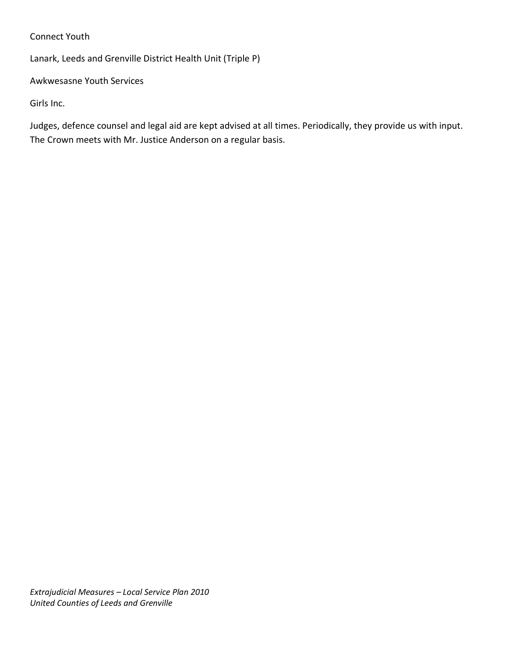# Connect Youth

Lanark, Leeds and Grenville District Health Unit (Triple P)

Awkwesasne Youth Services

Girls Inc.

Judges, defence counsel and legal aid are kept advised at all times. Periodically, they provide us with input. The Crown meets with Mr. Justice Anderson on a regular basis.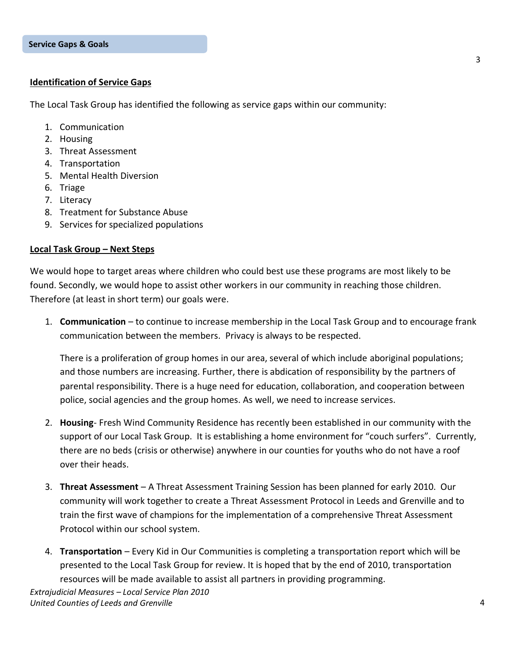#### **Identification of Service Gaps**

The Local Task Group has identified the following as service gaps within our community:

- 1. Communication
- 2. Housing
- 3. Threat Assessment
- 4. Transportation
- 5. Mental Health Diversion
- 6. Triage
- 7. Literacy
- 8. Treatment for Substance Abuse
- 9. Services for specialized populations

#### **Local Task Group – Next Steps**

We would hope to target areas where children who could best use these programs are most likely to be found. Secondly, we would hope to assist other workers in our community in reaching those children. Therefore (at least in short term) our goals were.

1. **Communication** – to continue to increase membership in the Local Task Group and to encourage frank communication between the members. Privacy is always to be respected.

There is a proliferation of group homes in our area, several of which include aboriginal populations; and those numbers are increasing. Further, there is abdication of responsibility by the partners of parental responsibility. There is a huge need for education, collaboration, and cooperation between police, social agencies and the group homes. As well, we need to increase services.

- 2. **Housing** Fresh Wind Community Residence has recently been established in our community with the support of our Local Task Group. It is establishing a home environment for "couch surfers". Currently, there are no beds (crisis or otherwise) anywhere in our counties for youths who do not have a roof over their heads.
- 3. **Threat Assessment** A Threat Assessment Training Session has been planned for early 2010. Our community will work together to create a Threat Assessment Protocol in Leeds and Grenville and to train the first wave of champions for the implementation of a comprehensive Threat Assessment Protocol within our school system.
- 4. **Transportation** Every Kid in Our Communities is completing a transportation report which will be presented to the Local Task Group for review. It is hoped that by the end of 2010, transportation resources will be made available to assist all partners in providing programming.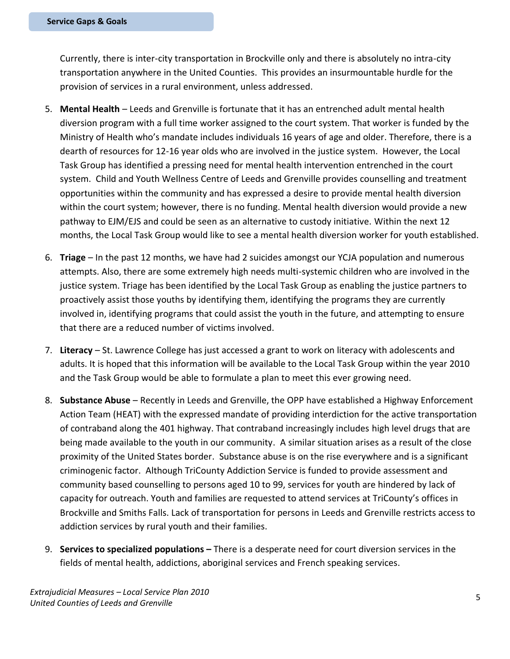Currently, there is inter-city transportation in Brockville only and there is absolutely no intra-city transportation anywhere in the United Counties. This provides an insurmountable hurdle for the provision of services in a rural environment, unless addressed.

- 5. **Mental Health** Leeds and Grenville is fortunate that it has an entrenched adult mental health diversion program with a full time worker assigned to the court system. That worker is funded by the Ministry of Health who's mandate includes individuals 16 years of age and older. Therefore, there is a dearth of resources for 12-16 year olds who are involved in the justice system. However, the Local Task Group has identified a pressing need for mental health intervention entrenched in the court system. Child and Youth Wellness Centre of Leeds and Grenville provides counselling and treatment opportunities within the community and has expressed a desire to provide mental health diversion within the court system; however, there is no funding. Mental health diversion would provide a new pathway to EJM/EJS and could be seen as an alternative to custody initiative. Within the next 12 months, the Local Task Group would like to see a mental health diversion worker for youth established.
- 6. **Triage** In the past 12 months, we have had 2 suicides amongst our YCJA population and numerous attempts. Also, there are some extremely high needs multi-systemic children who are involved in the justice system. Triage has been identified by the Local Task Group as enabling the justice partners to proactively assist those youths by identifying them, identifying the programs they are currently involved in, identifying programs that could assist the youth in the future, and attempting to ensure that there are a reduced number of victims involved.
- 7. **Literacy** St. Lawrence College has just accessed a grant to work on literacy with adolescents and adults. It is hoped that this information will be available to the Local Task Group within the year 2010 and the Task Group would be able to formulate a plan to meet this ever growing need.
- 8. **Substance Abuse** Recently in Leeds and Grenville, the OPP have established a Highway Enforcement Action Team (HEAT) with the expressed mandate of providing interdiction for the active transportation of contraband along the 401 highway. That contraband increasingly includes high level drugs that are being made available to the youth in our community. A similar situation arises as a result of the close proximity of the United States border. Substance abuse is on the rise everywhere and is a significant criminogenic factor. Although TriCounty Addiction Service is funded to provide assessment and community based counselling to persons aged 10 to 99, services for youth are hindered by lack of capacity for outreach. Youth and families are requested to attend services at TriCounty's offices in Brockville and Smiths Falls. Lack of transportation for persons in Leeds and Grenville restricts access to addiction services by rural youth and their families.
- 9. **Services to specialized populations –** There is a desperate need for court diversion services in the fields of mental health, addictions, aboriginal services and French speaking services.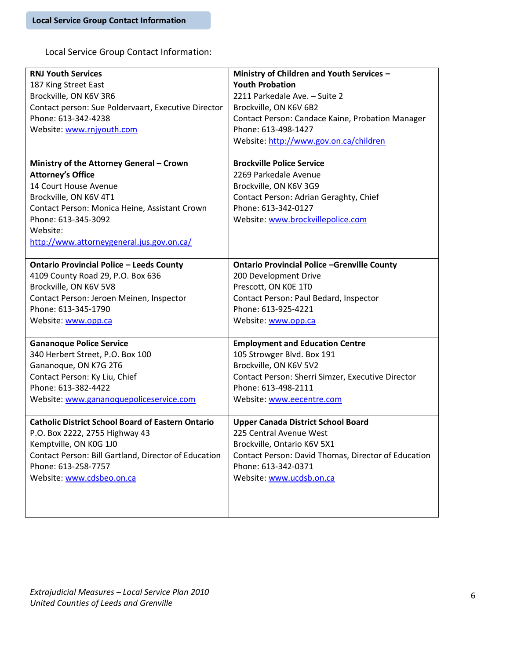Local Service Group Contact Information:

| <b>RNJ Youth Services</b>                                | Ministry of Children and Youth Services -           |
|----------------------------------------------------------|-----------------------------------------------------|
| 187 King Street East                                     | <b>Youth Probation</b>                              |
| Brockville, ON K6V 3R6                                   | 2211 Parkedale Ave. - Suite 2                       |
| Contact person: Sue Poldervaart, Executive Director      | Brockville, ON K6V 6B2                              |
| Phone: 613-342-4238                                      | Contact Person: Candace Kaine, Probation Manager    |
| Website: www.rnjyouth.com                                | Phone: 613-498-1427                                 |
|                                                          | Website: http://www.gov.on.ca/children              |
|                                                          |                                                     |
| Ministry of the Attorney General - Crown                 | <b>Brockville Police Service</b>                    |
| <b>Attorney's Office</b>                                 | 2269 Parkedale Avenue                               |
| 14 Court House Avenue                                    | Brockville, ON K6V 3G9                              |
| Brockville, ON K6V 4T1                                   | Contact Person: Adrian Geraghty, Chief              |
| Contact Person: Monica Heine, Assistant Crown            | Phone: 613-342-0127                                 |
| Phone: 613-345-3092                                      | Website: www.brockvillepolice.com                   |
| Website:                                                 |                                                     |
| http://www.attorneygeneral.jus.gov.on.ca/                |                                                     |
|                                                          |                                                     |
| <b>Ontario Provincial Police - Leeds County</b>          | <b>Ontario Provincial Police -Grenville County</b>  |
| 4109 County Road 29, P.O. Box 636                        | 200 Development Drive                               |
| Brockville, ON K6V 5V8                                   | Prescott, ON K0E 1T0                                |
| Contact Person: Jeroen Meinen, Inspector                 | Contact Person: Paul Bedard, Inspector              |
| Phone: 613-345-1790                                      | Phone: 613-925-4221                                 |
| Website: www.opp.ca                                      | Website: www.opp.ca                                 |
|                                                          |                                                     |
| <b>Gananoque Police Service</b>                          | <b>Employment and Education Centre</b>              |
| 340 Herbert Street, P.O. Box 100                         | 105 Strowger Blvd. Box 191                          |
| Gananoque, ON K7G 2T6                                    | Brockville, ON K6V 5V2                              |
| Contact Person: Ky Liu, Chief                            | Contact Person: Sherri Simzer, Executive Director   |
| Phone: 613-382-4422                                      | Phone: 613-498-2111                                 |
| Website: www.gananoquepoliceservice.com                  | Website: www.eecentre.com                           |
|                                                          |                                                     |
| <b>Catholic District School Board of Eastern Ontario</b> | <b>Upper Canada District School Board</b>           |
| P.O. Box 2222, 2755 Highway 43                           | 225 Central Avenue West                             |
| Kemptville, ON K0G 1J0                                   | Brockville, Ontario K6V 5X1                         |
| Contact Person: Bill Gartland, Director of Education     | Contact Person: David Thomas, Director of Education |
| Phone: 613-258-7757                                      | Phone: 613-342-0371                                 |
| Website: www.cdsbeo.on.ca                                | Website: www.ucdsb.on.ca                            |
|                                                          |                                                     |
|                                                          |                                                     |
|                                                          |                                                     |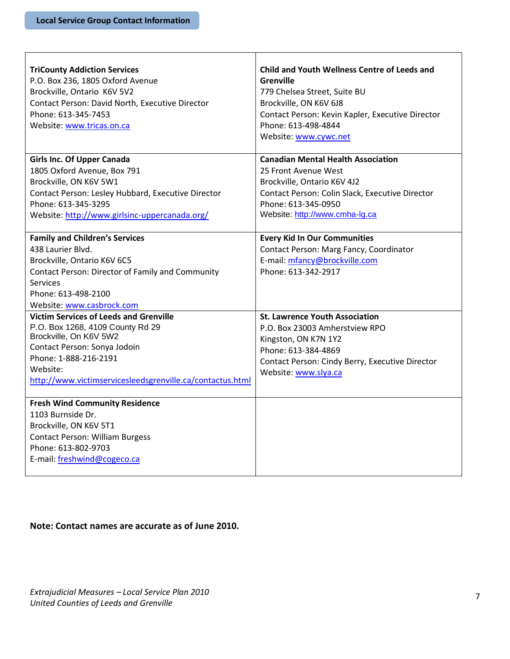Г

| <b>TriCounty Addiction Services</b><br>P.O. Box 236, 1805 Oxford Avenue<br>Brockville, Ontario K6V 5V2<br>Contact Person: David North, Executive Director<br>Phone: 613-345-7453<br>Website: www.tricas.on.ca                                 | Child and Youth Wellness Centre of Leeds and<br><b>Grenville</b><br>779 Chelsea Street, Suite BU<br>Brockville, ON K6V 6J8<br>Contact Person: Kevin Kapler, Executive Director<br>Phone: 613-498-4844<br>Website: www.cywc.net |
|-----------------------------------------------------------------------------------------------------------------------------------------------------------------------------------------------------------------------------------------------|--------------------------------------------------------------------------------------------------------------------------------------------------------------------------------------------------------------------------------|
| <b>Girls Inc. Of Upper Canada</b><br>1805 Oxford Avenue, Box 791<br>Brockville, ON K6V 5W1<br>Contact Person: Lesley Hubbard, Executive Director<br>Phone: 613-345-3295<br>Website: http://www.girlsinc-uppercanada.org/                      | <b>Canadian Mental Health Association</b><br>25 Front Avenue West<br>Brockville, Ontario K6V 4J2<br>Contact Person: Colin Slack, Executive Director<br>Phone: 613-345-0950<br>Website: http://www.cmha-lg.ca                   |
| <b>Family and Children's Services</b><br>438 Laurier Blvd.<br>Brockville, Ontario K6V 6C5<br>Contact Person: Director of Family and Community<br>Services<br>Phone: 613-498-2100<br>Website: www.casbrock.com                                 | <b>Every Kid In Our Communities</b><br>Contact Person: Marg Fancy, Coordinator<br>E-mail: mfancy@brockville.com<br>Phone: 613-342-2917                                                                                         |
| <b>Victim Services of Leeds and Grenville</b><br>P.O. Box 1268, 4109 County Rd 29<br>Brockville, On K6V 5W2<br>Contact Person: Sonya Jodoin<br>Phone: 1-888-216-2191<br>Website:<br>http://www.victimservicesleedsgrenville.ca/contactus.html | <b>St. Lawrence Youth Association</b><br>P.O. Box 23003 Amherstview RPO<br>Kingston, ON K7N 1Y2<br>Phone: 613-384-4869<br>Contact Person: Cindy Berry, Executive Director<br>Website: www.slya.ca                              |
| <b>Fresh Wind Community Residence</b><br>1103 Burnside Dr.<br>Brockville, ON K6V 5T1<br><b>Contact Person: William Burgess</b><br>Phone: 613-802-9703<br>E-mail: freshwind@cogeco.ca                                                          |                                                                                                                                                                                                                                |

Τ

**Note: Contact names are accurate as of June 2010.** 

٦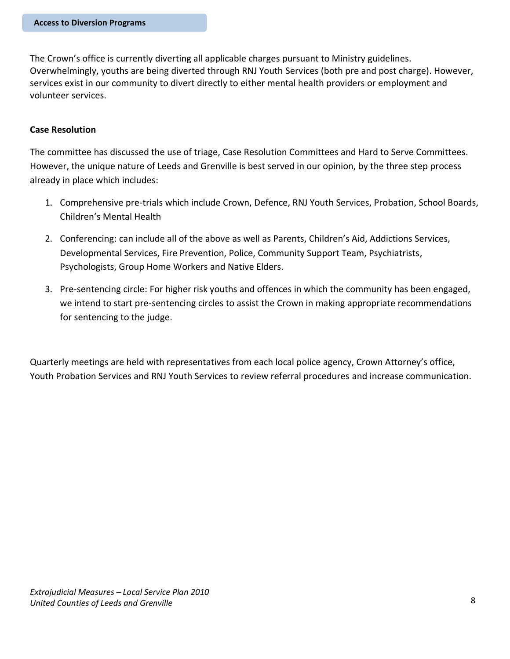The Crown's office is currently diverting all applicable charges pursuant to Ministry guidelines. Overwhelmingly, youths are being diverted through RNJ Youth Services (both pre and post charge). However, services exist in our community to divert directly to either mental health providers or employment and volunteer services.

#### **Case Resolution**

The committee has discussed the use of triage, Case Resolution Committees and Hard to Serve Committees. However, the unique nature of Leeds and Grenville is best served in our opinion, by the three step process already in place which includes:

- 1. Comprehensive pre-trials which include Crown, Defence, RNJ Youth Services, Probation, School Boards, Children's Mental Health
- 2. Conferencing: can include all of the above as well as Parents, Children's Aid, Addictions Services, Developmental Services, Fire Prevention, Police, Community Support Team, Psychiatrists, Psychologists, Group Home Workers and Native Elders.
- 3. Pre-sentencing circle: For higher risk youths and offences in which the community has been engaged, we intend to start pre-sentencing circles to assist the Crown in making appropriate recommendations for sentencing to the judge.

Quarterly meetings are held with representatives from each local police agency, Crown Attorney's office, Youth Probation Services and RNJ Youth Services to review referral procedures and increase communication.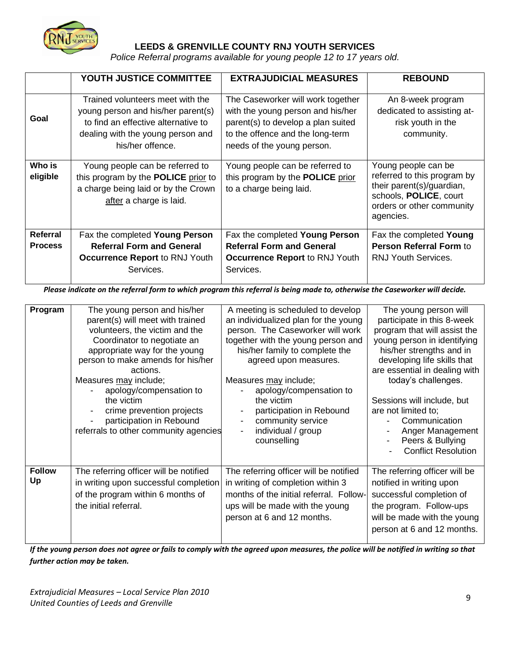

## **LEEDS & GRENVILLE COUNTY RNJ YOUTH SERVICES**

*Police Referral programs available for young people 12 to 17 years old.*

|                            | YOUTH JUSTICE COMMITTEE                                                                                                                                                | <b>EXTRAJUDICIAL MEASURES</b>                                                                                                                                                  | <b>REBOUND</b>                                                                                                                                      |
|----------------------------|------------------------------------------------------------------------------------------------------------------------------------------------------------------------|--------------------------------------------------------------------------------------------------------------------------------------------------------------------------------|-----------------------------------------------------------------------------------------------------------------------------------------------------|
| Goal                       | Trained volunteers meet with the<br>young person and his/her parent(s)<br>to find an effective alternative to<br>dealing with the young person and<br>his/her offence. | The Caseworker will work together<br>with the young person and his/her<br>parent(s) to develop a plan suited<br>to the offence and the long-term<br>needs of the young person. | An 8-week program<br>dedicated to assisting at-<br>risk youth in the<br>community.                                                                  |
| Who is<br>eligible         | Young people can be referred to<br>this program by the <b>POLICE</b> prior to<br>a charge being laid or by the Crown<br>after a charge is laid.                        | Young people can be referred to<br>this program by the <b>POLICE</b> prior<br>to a charge being laid.                                                                          | Young people can be<br>referred to this program by<br>their parent(s)/guardian,<br>schools, POLICE, court<br>orders or other community<br>agencies. |
| Referral<br><b>Process</b> | Fax the completed Young Person<br><b>Referral Form and General</b><br><b>Occurrence Report to RNJ Youth</b><br>Services.                                               | Fax the completed Young Person<br><b>Referral Form and General</b><br><b>Occurrence Report to RNJ Youth</b><br>Services.                                                       | Fax the completed Young<br>Person Referral Form to<br><b>RNJ Youth Services.</b>                                                                    |

*Please indicate on the referral form to which program this referral is being made to, otherwise the Caseworker will decide.*

| Program             | The young person and his/her<br>parent(s) will meet with trained<br>volunteers, the victim and the<br>Coordinator to negotiate an<br>appropriate way for the young<br>person to make amends for his/her<br>actions.<br>Measures may include;<br>apology/compensation to<br>the victim<br>crime prevention projects<br>participation in Rebound | A meeting is scheduled to develop<br>an individualized plan for the young<br>person. The Caseworker will work<br>together with the young person and<br>his/her family to complete the<br>agreed upon measures.<br>Measures may include;<br>apology/compensation to<br>the victim<br>participation in Rebound<br>community service | The young person will<br>participate in this 8-week<br>program that will assist the<br>young person in identifying<br>his/her strengths and in<br>developing life skills that<br>are essential in dealing with<br>today's challenges.<br>Sessions will include, but<br>are not limited to;<br>Communication |
|---------------------|------------------------------------------------------------------------------------------------------------------------------------------------------------------------------------------------------------------------------------------------------------------------------------------------------------------------------------------------|-----------------------------------------------------------------------------------------------------------------------------------------------------------------------------------------------------------------------------------------------------------------------------------------------------------------------------------|-------------------------------------------------------------------------------------------------------------------------------------------------------------------------------------------------------------------------------------------------------------------------------------------------------------|
| <b>Follow</b><br>Up | referrals to other community agencies<br>The referring officer will be notified<br>in writing upon successful completion<br>of the program within 6 months of<br>the initial referral.                                                                                                                                                         | individual / group<br>counselling<br>The referring officer will be notified<br>in writing of completion within 3<br>months of the initial referral. Follow-<br>ups will be made with the young<br>person at 6 and 12 months.                                                                                                      | Anger Management<br>Peers & Bullying<br><b>Conflict Resolution</b><br>The referring officer will be<br>notified in writing upon<br>successful completion of<br>the program. Follow-ups<br>will be made with the young<br>person at 6 and 12 months.                                                         |

*If the young person does not agree or fails to comply with the agreed upon measures, the police will be notified in writing so that further action may be taken.*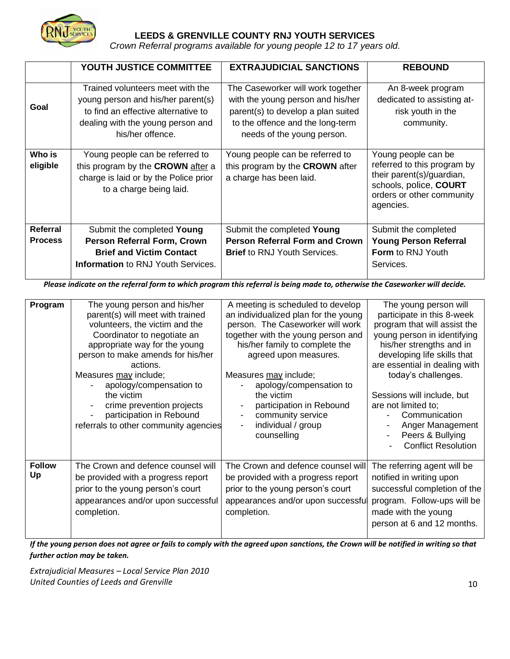

# **LEEDS & GRENVILLE COUNTY RNJ YOUTH SERVICES**

*Crown Referral programs available for young people 12 to 17 years old.*

|                            | YOUTH JUSTICE COMMITTEE                                                                                                                                                | <b>EXTRAJUDICIAL SANCTIONS</b>                                                                                                                                                 | <b>REBOUND</b>                                                                                                                                      |
|----------------------------|------------------------------------------------------------------------------------------------------------------------------------------------------------------------|--------------------------------------------------------------------------------------------------------------------------------------------------------------------------------|-----------------------------------------------------------------------------------------------------------------------------------------------------|
| Goal                       | Trained volunteers meet with the<br>young person and his/her parent(s)<br>to find an effective alternative to<br>dealing with the young person and<br>his/her offence. | The Caseworker will work together<br>with the young person and his/her<br>parent(s) to develop a plan suited<br>to the offence and the long-term<br>needs of the young person. | An 8-week program<br>dedicated to assisting at-<br>risk youth in the<br>community.                                                                  |
| Who is<br>eligible         | Young people can be referred to<br>this program by the CROWN after a<br>charge is laid or by the Police prior<br>to a charge being laid.                               | Young people can be referred to<br>this program by the CROWN after<br>a charge has been laid.                                                                                  | Young people can be<br>referred to this program by<br>their parent(s)/guardian,<br>schools, police, COURT<br>orders or other community<br>agencies. |
| Referral<br><b>Process</b> | Submit the completed Young<br>Person Referral Form, Crown<br><b>Brief and Victim Contact</b><br><b>Information</b> to RNJ Youth Services.                              | Submit the completed Young<br><b>Person Referral Form and Crown</b><br><b>Brief</b> to RNJ Youth Services.                                                                     | Submit the completed<br><b>Young Person Referral</b><br><b>Form</b> to RNJ Youth<br>Services.                                                       |

*Please indicate on the referral form to which program this referral is being made to, otherwise the Caseworker will decide.*

| Program             | The young person and his/her<br>parent(s) will meet with trained<br>volunteers, the victim and the<br>Coordinator to negotiate an<br>appropriate way for the young<br>person to make amends for his/her<br>actions.<br>Measures may include;<br>apology/compensation to<br>the victim<br>crime prevention projects<br>participation in Rebound<br>referrals to other community agencies | A meeting is scheduled to develop<br>an individualized plan for the young<br>person. The Caseworker will work<br>together with the young person and<br>his/her family to complete the<br>agreed upon measures.<br>Measures may include;<br>apology/compensation to<br>the victim<br>participation in Rebound<br>community service<br>individual / group<br>$\blacksquare$<br>counselling | The young person will<br>participate in this 8-week<br>program that will assist the<br>young person in identifying<br>his/her strengths and in<br>developing life skills that<br>are essential in dealing with<br>today's challenges.<br>Sessions will include, but<br>are not limited to;<br>Communication<br>Anger Management<br>Peers & Bullying<br><b>Conflict Resolution</b> |
|---------------------|-----------------------------------------------------------------------------------------------------------------------------------------------------------------------------------------------------------------------------------------------------------------------------------------------------------------------------------------------------------------------------------------|------------------------------------------------------------------------------------------------------------------------------------------------------------------------------------------------------------------------------------------------------------------------------------------------------------------------------------------------------------------------------------------|-----------------------------------------------------------------------------------------------------------------------------------------------------------------------------------------------------------------------------------------------------------------------------------------------------------------------------------------------------------------------------------|
| <b>Follow</b><br>Up | The Crown and defence counsel will<br>be provided with a progress report<br>prior to the young person's court<br>appearances and/or upon successful<br>completion.                                                                                                                                                                                                                      | The Crown and defence counsel will<br>be provided with a progress report<br>prior to the young person's court<br>appearances and/or upon successful<br>completion.                                                                                                                                                                                                                       | The referring agent will be<br>notified in writing upon<br>successful completion of the<br>program. Follow-ups will be<br>made with the young<br>person at 6 and 12 months.                                                                                                                                                                                                       |

*If the young person does not agree or fails to comply with the agreed upon sanctions, the Crown will be notified in writing so that further action may be taken.*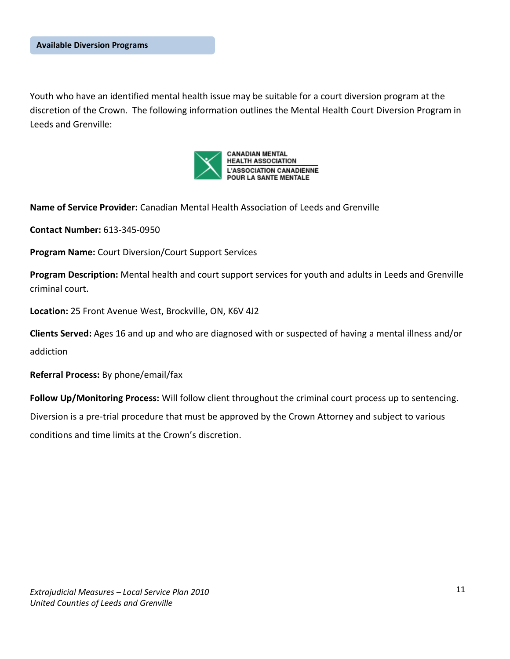Youth who have an identified mental health issue may be suitable for a court diversion program at the discretion of the Crown. The following information outlines the Mental Health Court Diversion Program in Leeds and Grenville:



**Name of Service Provider:** Canadian Mental Health Association of Leeds and Grenville

**Contact Number:** 613-345-0950

**Program Name:** Court Diversion/Court Support Services

**Program Description:** Mental health and court support services for youth and adults in Leeds and Grenville criminal court.

**Location:** 25 Front Avenue West, Brockville, ON, K6V 4J2

**Clients Served:** Ages 16 and up and who are diagnosed with or suspected of having a mental illness and/or addiction

**Referral Process:** By phone/email/fax

**Follow Up/Monitoring Process:** Will follow client throughout the criminal court process up to sentencing.

Diversion is a pre-trial procedure that must be approved by the Crown Attorney and subject to various conditions and time limits at the Crown's discretion.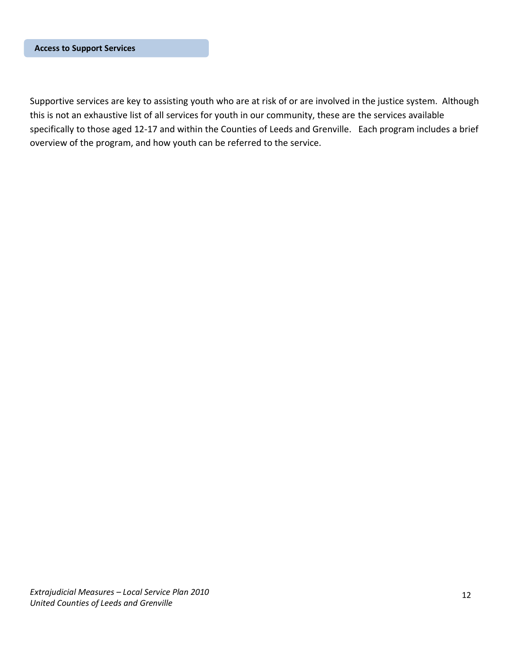Supportive services are key to assisting youth who are at risk of or are involved in the justice system. Although this is not an exhaustive list of all services for youth in our community, these are the services available specifically to those aged 12-17 and within the Counties of Leeds and Grenville. Each program includes a brief overview of the program, and how youth can be referred to the service.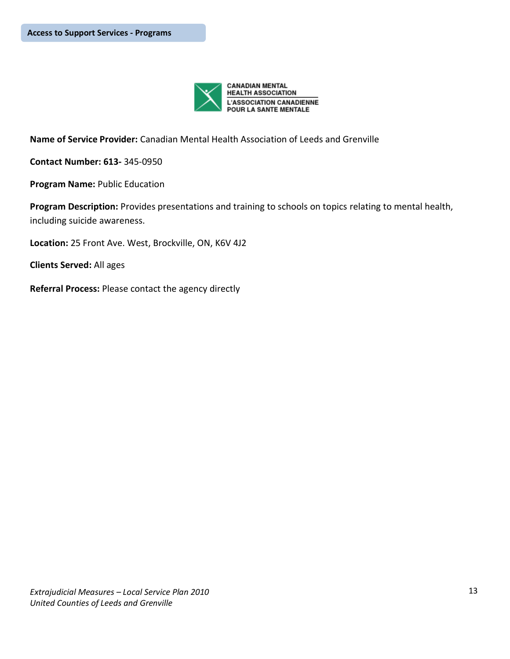

**Name of Service Provider:** Canadian Mental Health Association of Leeds and Grenville

**Contact Number: 613-** 345-0950

**Program Name:** Public Education

**Program Description:** Provides presentations and training to schools on topics relating to mental health, including suicide awareness.

**Location:** 25 Front Ave. West, Brockville, ON, K6V 4J2

**Clients Served:** All ages

**Referral Process:** Please contact the agency directly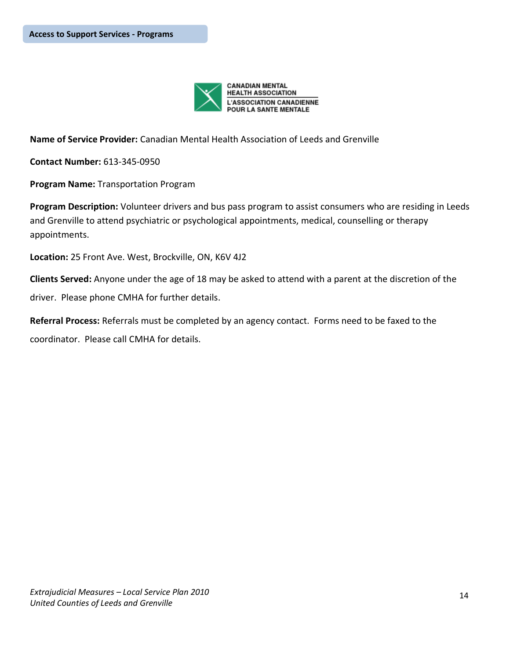

**Name of Service Provider:** Canadian Mental Health Association of Leeds and Grenville

**Contact Number:** 613-345-0950

**Program Name:** Transportation Program

**Program Description:** Volunteer drivers and bus pass program to assist consumers who are residing in Leeds and Grenville to attend psychiatric or psychological appointments, medical, counselling or therapy appointments.

**Location:** 25 Front Ave. West, Brockville, ON, K6V 4J2

**Clients Served:** Anyone under the age of 18 may be asked to attend with a parent at the discretion of the

driver. Please phone CMHA for further details.

**Referral Process:** Referrals must be completed by an agency contact. Forms need to be faxed to the coordinator. Please call CMHA for details.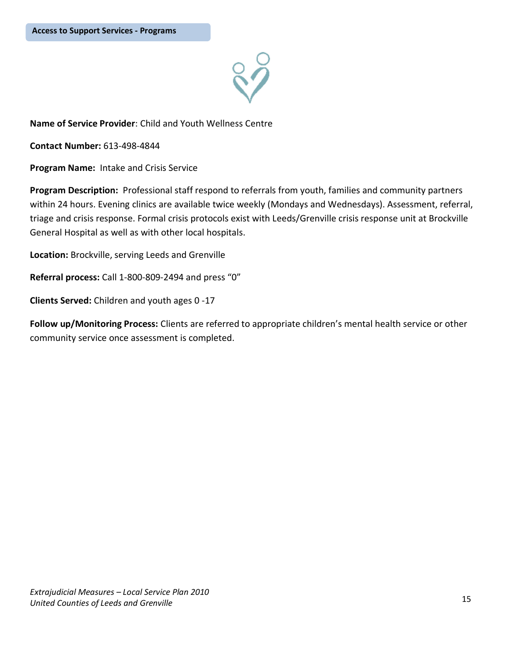

**Contact Number:** 613-498-4844

**Program Name:** Intake and Crisis Service

**Program Description:** Professional staff respond to referrals from youth, families and community partners within 24 hours. Evening clinics are available twice weekly (Mondays and Wednesdays). Assessment, referral, triage and crisis response. Formal crisis protocols exist with Leeds/Grenville crisis response unit at Brockville General Hospital as well as with other local hospitals.

**Location:** Brockville, serving Leeds and Grenville

**Referral process:** Call 1-800-809-2494 and press "0"

**Clients Served:** Children and youth ages 0 -17

**Follow up/Monitoring Process:** Clients are referred to appropriate children's mental health service or other community service once assessment is completed.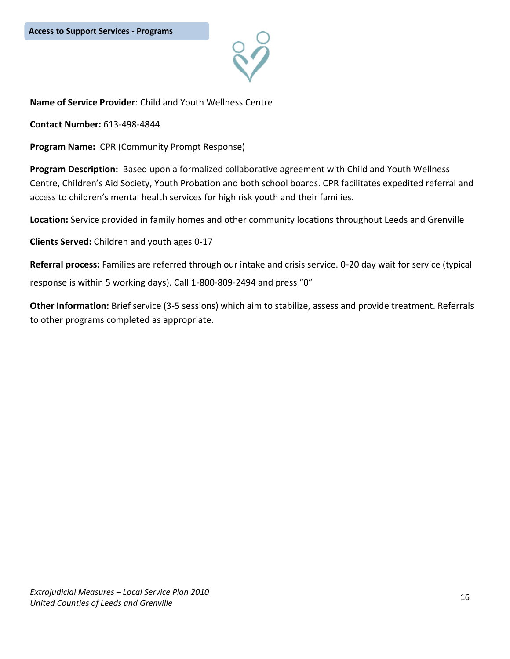**Contact Number:** 613-498-4844

**Program Name:** CPR (Community Prompt Response)

**Program Description:** Based upon a formalized collaborative agreement with Child and Youth Wellness Centre, Children's Aid Society, Youth Probation and both school boards. CPR facilitates expedited referral and access to children's mental health services for high risk youth and their families.

**Location:** Service provided in family homes and other community locations throughout Leeds and Grenville

**Clients Served:** Children and youth ages 0-17

**Referral process:** Families are referred through our intake and crisis service. 0-20 day wait for service (typical response is within 5 working days). Call 1-800-809-2494 and press "0"

**Other Information:** Brief service (3-5 sessions) which aim to stabilize, assess and provide treatment. Referrals to other programs completed as appropriate.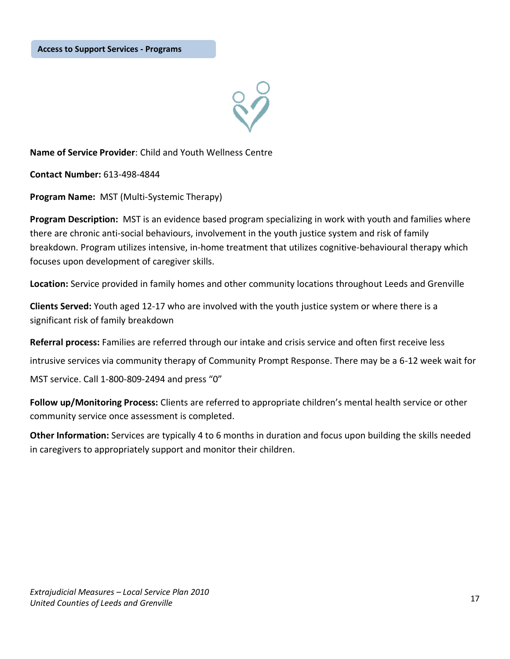**Contact Number:** 613-498-4844

**Program Name:** MST (Multi-Systemic Therapy)

**Program Description:** MST is an evidence based program specializing in work with youth and families where there are chronic anti-social behaviours, involvement in the youth justice system and risk of family breakdown. Program utilizes intensive, in-home treatment that utilizes cognitive-behavioural therapy which focuses upon development of caregiver skills.

**Location:** Service provided in family homes and other community locations throughout Leeds and Grenville

**Clients Served:** Youth aged 12-17 who are involved with the youth justice system or where there is a significant risk of family breakdown

**Referral process:** Families are referred through our intake and crisis service and often first receive less

intrusive services via community therapy of Community Prompt Response. There may be a 6-12 week wait for

MST service. Call 1-800-809-2494 and press "0"

**Follow up/Monitoring Process:** Clients are referred to appropriate children's mental health service or other community service once assessment is completed.

**Other Information:** Services are typically 4 to 6 months in duration and focus upon building the skills needed in caregivers to appropriately support and monitor their children.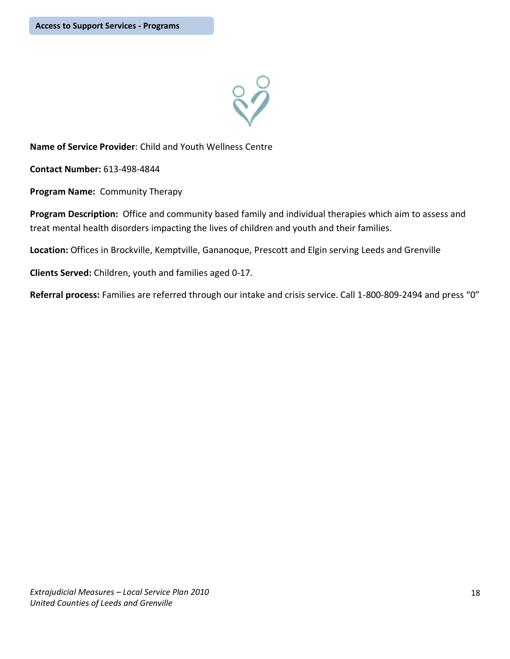

**Contact Number:** 613-498-4844

**Program Name:** Community Therapy

**Program Description:** Office and community based family and individual therapies which aim to assess and treat mental health disorders impacting the lives of children and youth and their families.

**Location:** Offices in Brockville, Kemptville, Gananoque, Prescott and Elgin serving Leeds and Grenville

**Clients Served:** Children, youth and families aged 0-17.

**Referral process:** Families are referred through our intake and crisis service. Call 1-800-809-2494 and press "0"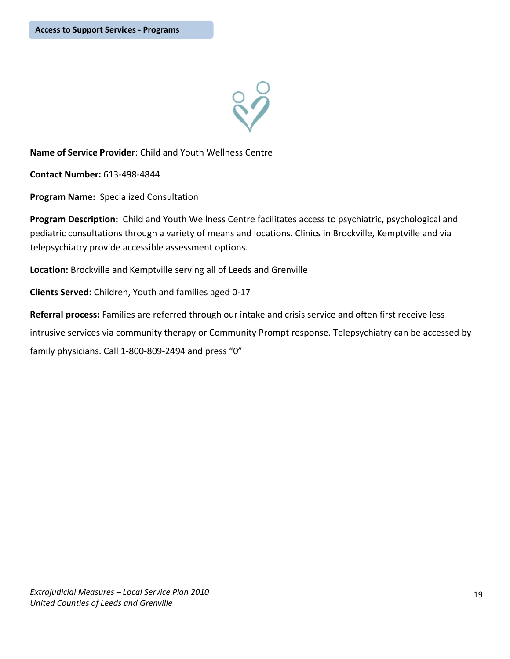

**Contact Number:** 613-498-4844

**Program Name:** Specialized Consultation

**Program Description:** Child and Youth Wellness Centre facilitates access to psychiatric, psychological and pediatric consultations through a variety of means and locations. Clinics in Brockville, Kemptville and via telepsychiatry provide accessible assessment options.

**Location:** Brockville and Kemptville serving all of Leeds and Grenville

**Clients Served:** Children, Youth and families aged 0-17

**Referral process:** Families are referred through our intake and crisis service and often first receive less intrusive services via community therapy or Community Prompt response. Telepsychiatry can be accessed by family physicians. Call 1-800-809-2494 and press "0"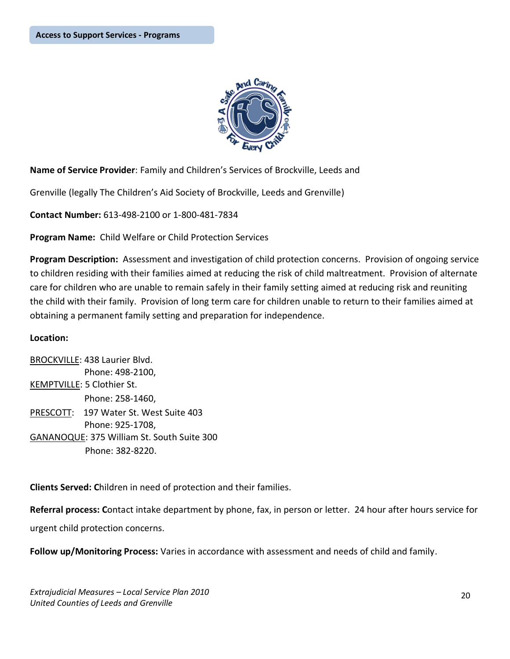

**Name of Service Provider**: Family and Children's Services of Brockville, Leeds and

Grenville (legally The Children's Aid Society of Brockville, Leeds and Grenville)

**Contact Number:** 613-498-2100 or 1-800-481-7834

**Program Name:** Child Welfare or Child Protection Services

**Program Description:** Assessment and investigation of child protection concerns. Provision of ongoing service to children residing with their families aimed at reducing the risk of child maltreatment. Provision of alternate care for children who are unable to remain safely in their family setting aimed at reducing risk and reuniting the child with their family. Provision of long term care for children unable to return to their families aimed at obtaining a permanent family setting and preparation for independence.

#### **Location:**

BROCKVILLE: 438 Laurier Blvd. Phone: 498-2100, KEMPTVILLE: 5 Clothier St. Phone: 258-1460, PRESCOTT: 197 Water St. West Suite 403 Phone: 925-1708, GANANOQUE: 375 William St. South Suite 300 Phone: 382-8220.

**Clients Served: C**hildren in need of protection and their families.

**Referral process: C**ontact intake department by phone, fax, in person or letter. 24 hour after hours service for urgent child protection concerns.

**Follow up/Monitoring Process:** Varies in accordance with assessment and needs of child and family.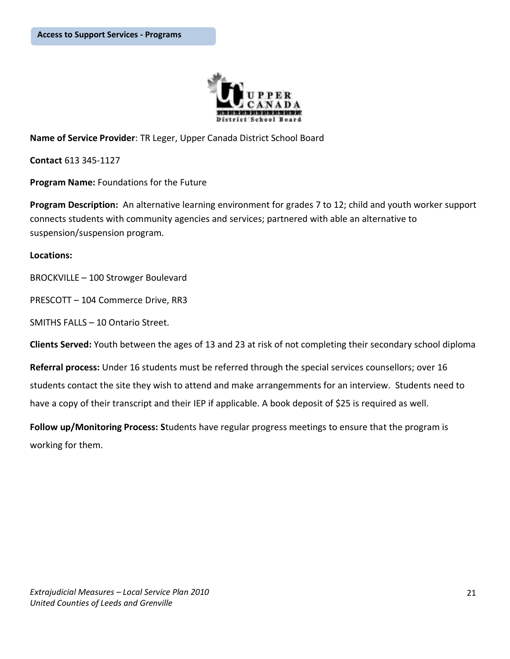

**Name of Service Provider**: TR Leger, Upper Canada District School Board

**Contact** 613 345-1127

**Program Name:** Foundations for the Future

**Program Description:** An alternative learning environment for grades 7 to 12; child and youth worker support connects students with community agencies and services; partnered with able an alternative to suspension/suspension program.

#### **Locations:**

BROCKVILLE – 100 Strowger Boulevard

PRESCOTT – 104 Commerce Drive, RR3

SMITHS FALLS – 10 Ontario Street.

**Clients Served:** Youth between the ages of 13 and 23 at risk of not completing their secondary school diploma

**Referral process:** Under 16 students must be referred through the special services counsellors; over 16 students contact the site they wish to attend and make arrangemments for an interview. Students need to have a copy of their transcript and their IEP if applicable. A book deposit of \$25 is required as well.

**Follow up/Monitoring Process: S**tudents have regular progress meetings to ensure that the program is working for them.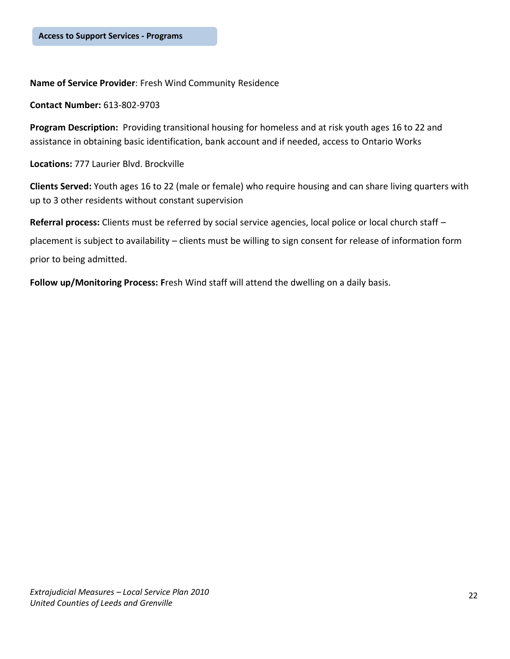**Name of Service Provider**: Fresh Wind Community Residence

**Contact Number:** 613-802-9703

**Program Description:** Providing transitional housing for homeless and at risk youth ages 16 to 22 and assistance in obtaining basic identification, bank account and if needed, access to Ontario Works

**Locations:** 777 Laurier Blvd. Brockville

**Clients Served:** Youth ages 16 to 22 (male or female) who require housing and can share living quarters with up to 3 other residents without constant supervision

**Referral process:** Clients must be referred by social service agencies, local police or local church staff – placement is subject to availability – clients must be willing to sign consent for release of information form prior to being admitted.

**Follow up/Monitoring Process: F**resh Wind staff will attend the dwelling on a daily basis.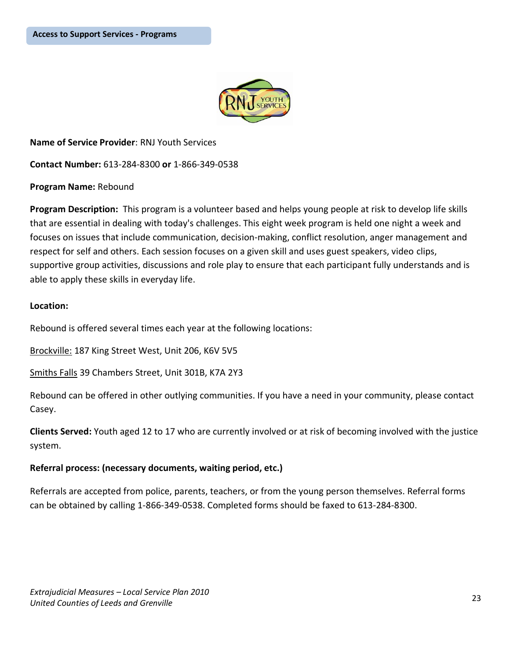

**Name of Service Provider**: RNJ Youth Services **Contact Number:** 613-284-8300 **or** 1-866-349-0538

**Program Name:** Rebound

**Program Description:** This program is a volunteer based and helps young people at risk to develop life skills that are essential in dealing with today's challenges. This eight week program is held one night a week and focuses on issues that include communication, decision-making, conflict resolution, anger management and respect for self and others. Each session focuses on a given skill and uses guest speakers, video clips, supportive group activities, discussions and role play to ensure that each participant fully understands and is able to apply these skills in everyday life.

#### **Location:**

Rebound is offered several times each year at the following locations:

Brockville: 187 King Street West, Unit 206, K6V 5V5

Smiths Falls 39 Chambers Street, Unit 301B, K7A 2Y3

Rebound can be offered in other outlying communities. If you have a need in your community, please contact Casey.

**Clients Served:** Youth aged 12 to 17 who are currently involved or at risk of becoming involved with the justice system.

## **Referral process: (necessary documents, waiting period, etc.)**

Referrals are accepted from police, parents, teachers, or from the young person themselves. Referral forms can be obtained by calling 1-866-349-0538. Completed forms should be faxed to 613-284-8300.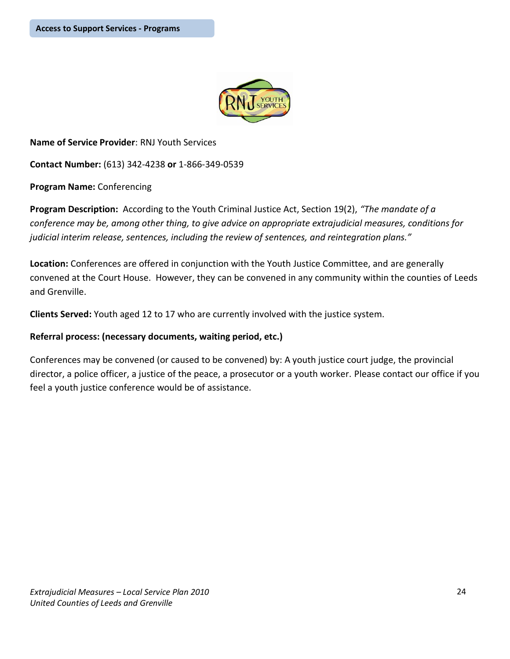

**Name of Service Provider**: RNJ Youth Services

**Contact Number:** (613) 342-4238 **or** 1-866-349-0539

**Program Name:** Conferencing

**Program Description:** According to the Youth Criminal Justice Act, Section 19(2), *"The mandate of a conference may be, among other thing, to give advice on appropriate extrajudicial measures, conditions for judicial interim release, sentences, including the review of sentences, and reintegration plans."*

**Location:** Conferences are offered in conjunction with the Youth Justice Committee, and are generally convened at the Court House. However, they can be convened in any community within the counties of Leeds and Grenville.

**Clients Served:** Youth aged 12 to 17 who are currently involved with the justice system.

## **Referral process: (necessary documents, waiting period, etc.)**

Conferences may be convened (or caused to be convened) by: A youth justice court judge, the provincial director, a police officer, a justice of the peace, a prosecutor or a youth worker. Please contact our office if you feel a youth justice conference would be of assistance.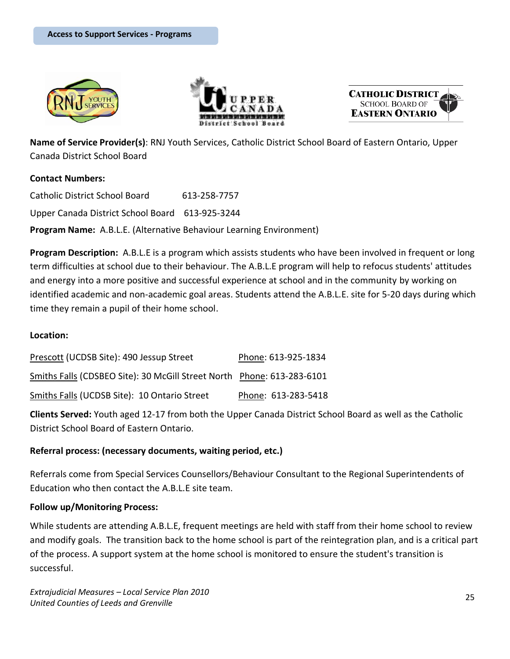





**Name of Service Provider(s)**: RNJ Youth Services, Catholic District School Board of Eastern Ontario, Upper Canada District School Board

## **Contact Numbers:**

Catholic District School Board 613-258-7757 Upper Canada District School Board 613-925-3244 **Program Name:** A.B.L.E. (Alternative Behaviour Learning Environment)

**Program Description:** A.B.L.E is a program which assists students who have been involved in frequent or long term difficulties at school due to their behaviour. The A.B.L.E program will help to refocus students' attitudes and energy into a more positive and successful experience at school and in the community by working on identified academic and non-academic goal areas. Students attend the A.B.L.E. site for 5-20 days during which time they remain a pupil of their home school.

## **Location:**

| Prescott (UCDSB Site): 490 Jessup Street                               | Phone: 613-925-1834 |
|------------------------------------------------------------------------|---------------------|
| Smiths Falls (CDSBEO Site): 30 McGill Street North Phone: 613-283-6101 |                     |
| Smiths Falls (UCDSB Site): 10 Ontario Street                           | Phone: 613-283-5418 |

**Clients Served:** Youth aged 12-17 from both the Upper Canada District School Board as well as the Catholic District School Board of Eastern Ontario.

## **Referral process: (necessary documents, waiting period, etc.)**

Referrals come from Special Services Counsellors/Behaviour Consultant to the Regional Superintendents of Education who then contact the A.B.L.E site team.

#### **Follow up/Monitoring Process:**

While students are attending A.B.L.E, frequent meetings are held with staff from their home school to review and modify goals. The transition back to the home school is part of the reintegration plan, and is a critical part of the process. A support system at the home school is monitored to ensure the student's transition is successful.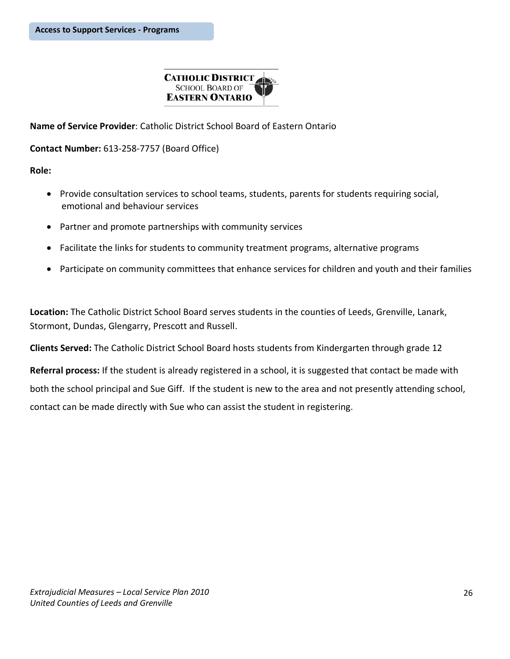

**Name of Service Provider**: Catholic District School Board of Eastern Ontario

**Contact Number:** 613-258-7757 (Board Office)

**Role:**

- Provide consultation services to school teams, students, parents for students requiring social, emotional and behaviour services
- Partner and promote partnerships with community services
- Facilitate the links for students to community treatment programs, alternative programs
- Participate on community committees that enhance services for children and youth and their families

**Location:** The Catholic District School Board serves students in the counties of Leeds, Grenville, Lanark, Stormont, Dundas, Glengarry, Prescott and Russell.

**Clients Served:** The Catholic District School Board hosts students from Kindergarten through grade 12

**Referral process:** If the student is already registered in a school, it is suggested that contact be made with both the school principal and Sue Giff. If the student is new to the area and not presently attending school, contact can be made directly with Sue who can assist the student in registering.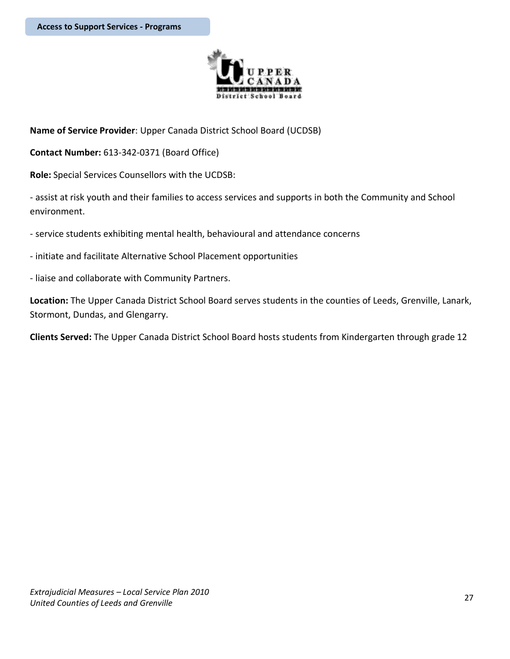

**Name of Service Provider**: Upper Canada District School Board (UCDSB)

**Contact Number:** 613-342-0371 (Board Office)

**Role:** Special Services Counsellors with the UCDSB:

- assist at risk youth and their families to access services and supports in both the Community and School environment.

- service students exhibiting mental health, behavioural and attendance concerns

- initiate and facilitate Alternative School Placement opportunities
- liaise and collaborate with Community Partners.

**Location:** The Upper Canada District School Board serves students in the counties of Leeds, Grenville, Lanark, Stormont, Dundas, and Glengarry.

**Clients Served:** The Upper Canada District School Board hosts students from Kindergarten through grade 12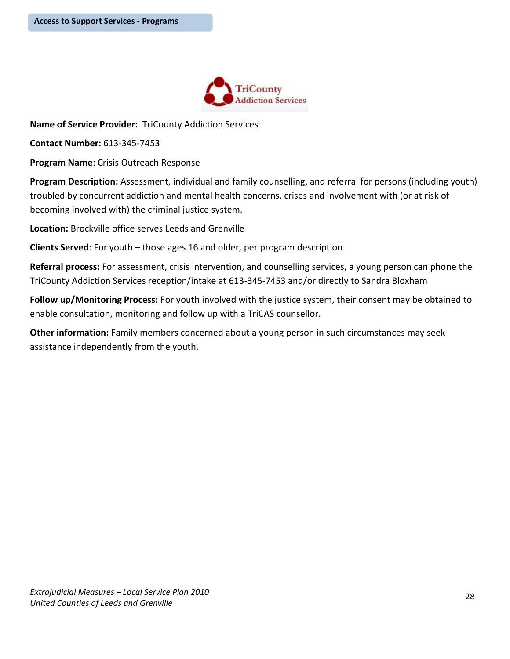

**Name of Service Provider:** TriCounty Addiction Services

**Contact Number:** 613-345-7453

**Program Name**: Crisis Outreach Response

**Program Description:** Assessment, individual and family counselling, and referral for persons (including youth) troubled by concurrent addiction and mental health concerns, crises and involvement with (or at risk of becoming involved with) the criminal justice system.

**Location:** Brockville office serves Leeds and Grenville

**Clients Served**: For youth – those ages 16 and older, per program description

**Referral process:** For assessment, crisis intervention, and counselling services, a young person can phone the TriCounty Addiction Services reception/intake at 613-345-7453 and/or directly to Sandra Bloxham

**Follow up/Monitoring Process:** For youth involved with the justice system, their consent may be obtained to enable consultation, monitoring and follow up with a TriCAS counsellor.

**Other information:** Family members concerned about a young person in such circumstances may seek assistance independently from the youth.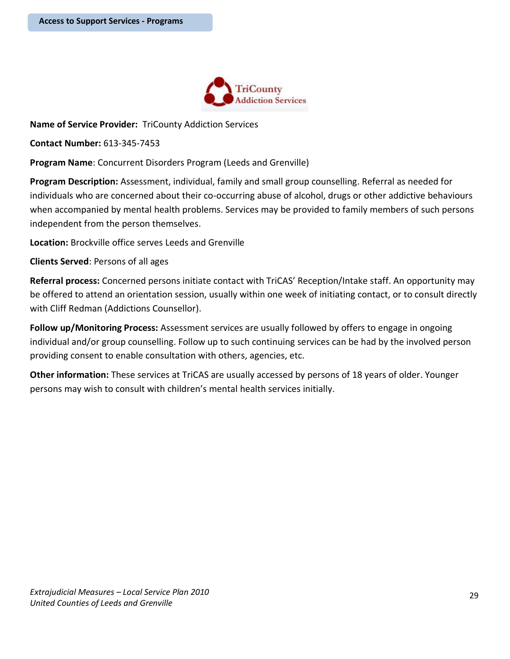

**Name of Service Provider:** TriCounty Addiction Services

**Contact Number:** 613-345-7453

**Program Name**: Concurrent Disorders Program (Leeds and Grenville)

**Program Description:** Assessment, individual, family and small group counselling. Referral as needed for individuals who are concerned about their co-occurring abuse of alcohol, drugs or other addictive behaviours when accompanied by mental health problems. Services may be provided to family members of such persons independent from the person themselves.

**Location:** Brockville office serves Leeds and Grenville

**Clients Served**: Persons of all ages

**Referral process:** Concerned persons initiate contact with TriCAS' Reception/Intake staff. An opportunity may be offered to attend an orientation session, usually within one week of initiating contact, or to consult directly with Cliff Redman (Addictions Counsellor).

**Follow up/Monitoring Process:** Assessment services are usually followed by offers to engage in ongoing individual and/or group counselling. Follow up to such continuing services can be had by the involved person providing consent to enable consultation with others, agencies, etc.

**Other information:** These services at TriCAS are usually accessed by persons of 18 years of older. Younger persons may wish to consult with children's mental health services initially.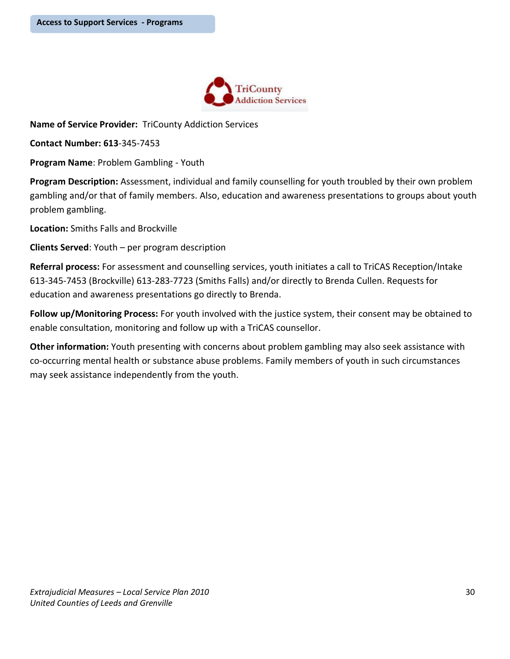

**Name of Service Provider:** TriCounty Addiction Services

**Contact Number: 613**-345-7453

**Program Name**: Problem Gambling - Youth

**Program Description:** Assessment, individual and family counselling for youth troubled by their own problem gambling and/or that of family members. Also, education and awareness presentations to groups about youth problem gambling.

**Location:** Smiths Falls and Brockville

**Clients Served**: Youth – per program description

**Referral process:** For assessment and counselling services, youth initiates a call to TriCAS Reception/Intake 613-345-7453 (Brockville) 613-283-7723 (Smiths Falls) and/or directly to Brenda Cullen. Requests for education and awareness presentations go directly to Brenda.

**Follow up/Monitoring Process:** For youth involved with the justice system, their consent may be obtained to enable consultation, monitoring and follow up with a TriCAS counsellor.

**Other information:** Youth presenting with concerns about problem gambling may also seek assistance with co-occurring mental health or substance abuse problems. Family members of youth in such circumstances may seek assistance independently from the youth.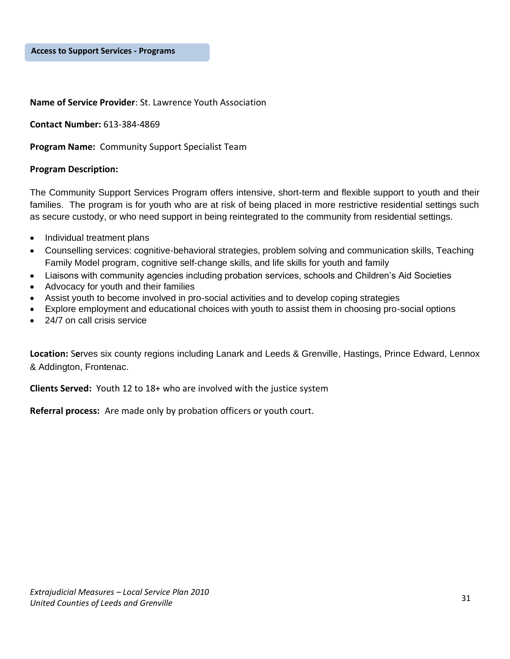#### **Name of Service Provider**: St. Lawrence Youth Association

**Contact Number:** 613-384-4869

**Program Name:** Community Support Specialist Team

#### **Program Description:**

The Community Support Services Program offers intensive, short-term and flexible support to youth and their families. The program is for youth who are at risk of being placed in more restrictive residential settings such as secure custody, or who need support in being reintegrated to the community from residential settings.

- Individual treatment plans
- Counselling services: cognitive-behavioral strategies, problem solving and communication skills, Teaching Family Model program, cognitive self-change skills, and life skills for youth and family
- Liaisons with community agencies including probation services, schools and Children's Aid Societies
- Advocacy for youth and their families
- Assist youth to become involved in pro-social activities and to develop coping strategies
- Explore employment and educational choices with youth to assist them in choosing pro-social options
- 24/7 on call crisis service

**Location:** S**e**rves six county regions including Lanark and Leeds & Grenville, Hastings, Prince Edward, Lennox & Addington, Frontenac.

**Clients Served:** Youth 12 to 18+ who are involved with the justice system

**Referral process:** Are made only by probation officers or youth court.